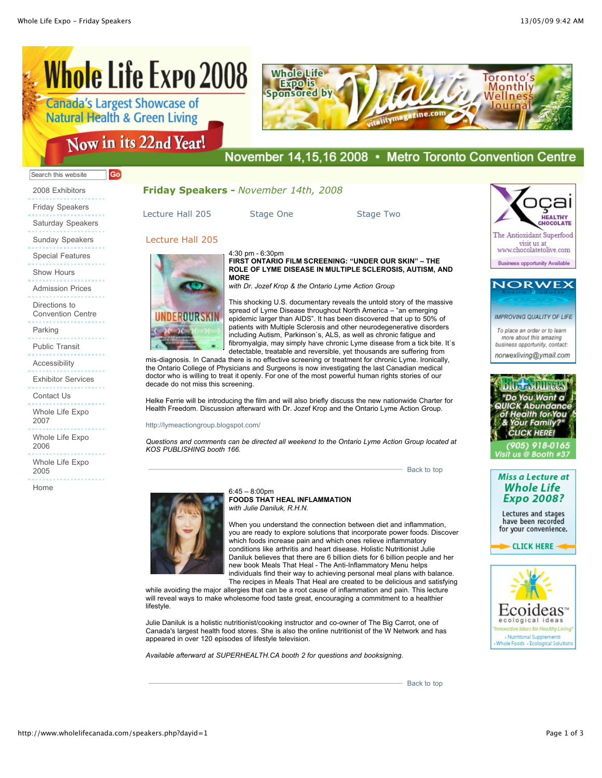# **Whole Life Expo 2008**

| <b>Canada S Largest Showcase of</b><br><b>Natural Health &amp; Green Living</b> |
|---------------------------------------------------------------------------------|
| Now in its 22nd Year!                                                           |



## November 14,15,16 2008 • Metro Toronto Convention Centre

#### Go Search this website

2008 Exhibitors Friday Speakers Saturday Speakers Sunday Speakers Special Features Show Hours Admission Prices Directions to Convention Centre Parking

Public Transit

Accessibility

Exhibitor Services

Contact Us

Whole Life Expo 2007

Whole Life Expo 2006

Whole Life Expo 2005

Home

### **Friday Speakers -** *November 14th, 2008*

[Lecture Hall 205](http://www.wholelifecanada.com/speakers.php?dayid=1#6) [Stage One](http://www.wholelifecanada.com/speakers.php?dayid=1#8) [Stage Two](http://www.wholelifecanada.com/speakers.php?dayid=1#9)

#### Lecture Hall 205



4:30 pm - 6:30pm **FIRST ONTARIO FILM SCREENING: "UNDER OUR SKIN" – THE ROLE OF LYME DISEASE IN MULTIPLE SCLEROSIS, AUTISM, AND MORE** *with Dr. Jozef Krop & the Ontario Lyme Action Group*

This shocking U.S. documentary reveals the untold story of the massive spread of Lyme Disease throughout North America – "an emerging epidemic larger than AIDS". It has been discovered that up to 50% of patients with Multiple Sclerosis and other neurodegenerative disorders including Autism, Parkinson`s, ALS, as well as chronic fatigue and fibromyalgia, may simply have chronic Lyme disease from a tick bite. It's detectable, treatable and reversible, yet thousands are suffering from

mis-diagnosis. In Canada there is no effective screening or treatment for chronic Lyme. Ironically, the Ontario College of Physicians and Surgeons is now investigating the last Canadian medical doctor who is willing to treat it openly. For one of the most powerful human rights stories of our decade do not miss this screening.

Helke Ferrie will be introducing the film and will also briefly discuss the new nationwide Charter for Health Freedom. Discussion afterward with Dr. Jozef Krop and the Ontario Lyme Action Group.

<http://lymeactiongroup.blogspot.com/>

*Questions and comments can be directed all weekend to the Ontario Lyme Action Group located at KOS PUBLISHING booth 166.*

[Back to top](http://www.wholelifecanada.com/speakers.php?dayid=1#top)



6:45 – 8:00pm **FOODS THAT HEAL INFLAMMATION**  *with Julie Daniluk, R.H.N.* 

When you understand the connection between diet and inflammation, you are ready to explore solutions that incorporate power foods. Discover which foods increase pain and which ones relieve inflammatory conditions like arthritis and heart disease. Holistic Nutritionist Julie Daniluk believes that there are 6 billion diets for 6 billion people and her new book Meals That Heal - The Anti-Inflammatory Menu helps individuals find their way to achieving personal meal plans with balance. The recipes in Meals That Heal are created to be delicious and satisfying

while avoiding the major allergies that can be a root cause of inflammation and pain. This lecture will reveal ways to make wholesome food taste great, encouraging a commitment to a healthier lifestyle.

Julie Daniluk is a holistic nutritionist/cooking instructor and co-owner of The Big Carrot, one of Canada's largest health food stores. She is also the online nutritionist of the W Network and has appeared in over 120 episodes of lifestyle television.

*Available afterward at SUPERHEALTH.CA booth 2 for questions and booksigning.* 







To place an order or to learn more about this amazing business opportunity, contact: norwexliving@ymail.com



**Miss a Lecture at Whole Life Expo 2008?** 

Lectures and stages have been recorded for your convenience.

**CLICK HERE** 

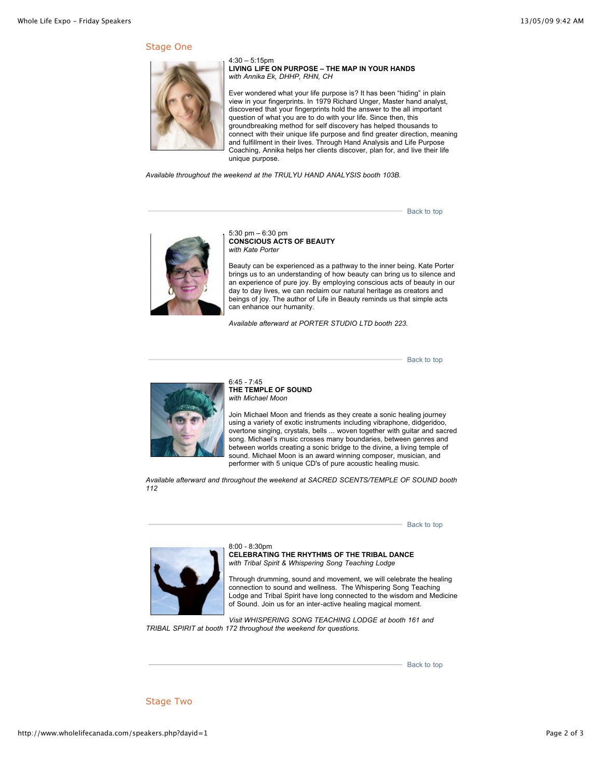#### Stage One



4:30 – 5:15pm **LIVING LIFE ON PURPOSE – THE MAP IN YOUR HANDS** *with Annika Ek, DHHP, RHN, CH* 

Ever wondered what your life purpose is? It has been "hiding" in plain view in your fingerprints. In 1979 Richard Unger, Master hand analyst, discovered that your fingerprints hold the answer to the all important question of what you are to do with your life. Since then, this groundbreaking method for self discovery has helped thousands to connect with their unique life purpose and find greater direction, meaning and fulfillment in their lives. Through Hand Analysis and Life Purpose Coaching, Annika helps her clients discover, plan for, and live their life unique purpose.

*Available throughout the weekend at the TRULYU HAND ANALYSIS booth 103B.*

 $-$  [Back to top](http://www.wholelifecanada.com/speakers.php?dayid=1#top)



5:30 pm – 6:30 pm **CONSCIOUS ACTS OF BEAUTY** *with Kate Porter* 

Beauty can be experienced as a pathway to the inner being. Kate Porter brings us to an understanding of how beauty can bring us to silence and an experience of pure joy. By employing conscious acts of beauty in our day to day lives, we can reclaim our natural heritage as creators and beings of joy. The author of Life in Beauty reminds us that simple acts can enhance our humanity.

*Available afterward at PORTER STUDIO LTD booth 223.*

[Back to top](http://www.wholelifecanada.com/speakers.php?dayid=1#top)



6:45 - 7:45 **THE TEMPLE OF SOUND** *with Michael Moon*

Join Michael Moon and friends as they create a sonic healing journey using a variety of exotic instruments including vibraphone, didgeridoo, overtone singing, crystals, bells ... woven together with guitar and sacred song. Michael's music crosses many boundaries, between genres and between worlds creating a sonic bridge to the divine, a living temple of sound. Michael Moon is an award winning composer, musician, and performer with 5 unique CD's of pure acoustic healing music.

*Available afterward and throughout the weekend at SACRED SCENTS/TEMPLE OF SOUND booth 112*

[Back to top](http://www.wholelifecanada.com/speakers.php?dayid=1#top)



8:00 - 8:30pm **CELEBRATING THE RHYTHMS OF THE TRIBAL DANCE** *with Tribal Spirit & Whispering Song Teaching Lodge*

Through drumming, sound and movement, we will celebrate the healing connection to sound and wellness. The Whispering Song Teaching Lodge and Tribal Spirit have long connected to the wisdom and Medicine of Sound. Join us for an inter-active healing magical moment.

*Visit WHISPERING SONG TEACHING LODGE at booth 161 and TRIBAL SPIRIT at booth 172 throughout the weekend for questions.*

[Back to top](http://www.wholelifecanada.com/speakers.php?dayid=1#top)

Stage Two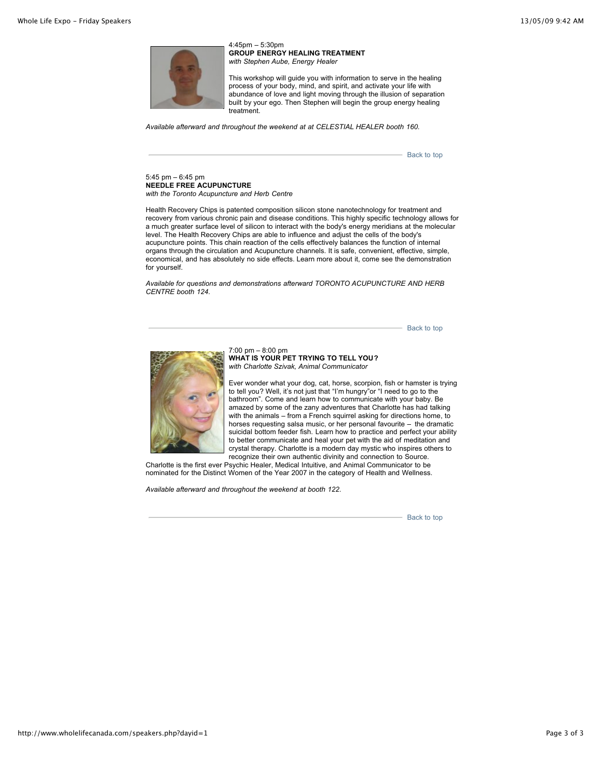

4:45pm – 5:30pm **GROUP ENERGY HEALING TREATMENT**  *with Stephen Aube, Energy Healer* 

This workshop will guide you with information to serve in the healing process of your body, mind, and spirit, and activate your life with abundance of love and light moving through the illusion of separation built by your ego. Then Stephen will begin the group energy healing treatment.

*Available afterward and throughout the weekend at at CELESTIAL HEALER booth 160.*

[Back to top](http://www.wholelifecanada.com/speakers.php?dayid=1#top)

5:45 pm – 6:45 pm **NEEDLE FREE ACUPUNCTURE** *with the Toronto Acupuncture and Herb Centre*

Health Recovery Chips is patented composition silicon stone nanotechnology for treatment and recovery from various chronic pain and disease conditions. This highly specific technology allows for a much greater surface level of silicon to interact with the body's energy meridians at the molecular level. The Health Recovery Chips are able to influence and adjust the cells of the body's acupuncture points. This chain reaction of the cells effectively balances the function of internal organs through the circulation and Acupuncture channels. It is safe, convenient, effective, simple, economical, and has absolutely no side effects. Learn more about it, come see the demonstration for yourself.

*Available for questions and demonstrations afterward TORONTO ACUPUNCTURE AND HERB CENTRE booth 124.*

[Back to top](http://www.wholelifecanada.com/speakers.php?dayid=1#top)



7:00 pm – 8:00 pm **WHAT IS YOUR PET TRYING TO TELL YOU?**  *with Charlotte Szivak, Animal Communicator*

Ever wonder what your dog, cat, horse, scorpion, fish or hamster is trying to tell you? Well, it's not just that "I'm hungry"or "I need to go to the bathroom". Come and learn how to communicate with your baby. Be amazed by some of the zany adventures that Charlotte has had talking with the animals – from a French squirrel asking for directions home, to horses requesting salsa music, or her personal favourite – the dramatic suicidal bottom feeder fish. Learn how to practice and perfect your ability to better communicate and heal your pet with the aid of meditation and crystal therapy. Charlotte is a modern day mystic who inspires others to recognize their own authentic divinity and connection to Source.

Charlotte is the first ever Psychic Healer, Medical Intuitive, and Animal Communicator to be nominated for the Distinct Women of the Year 2007 in the category of Health and Wellness.

*Available afterward and throughout the weekend at booth 122.*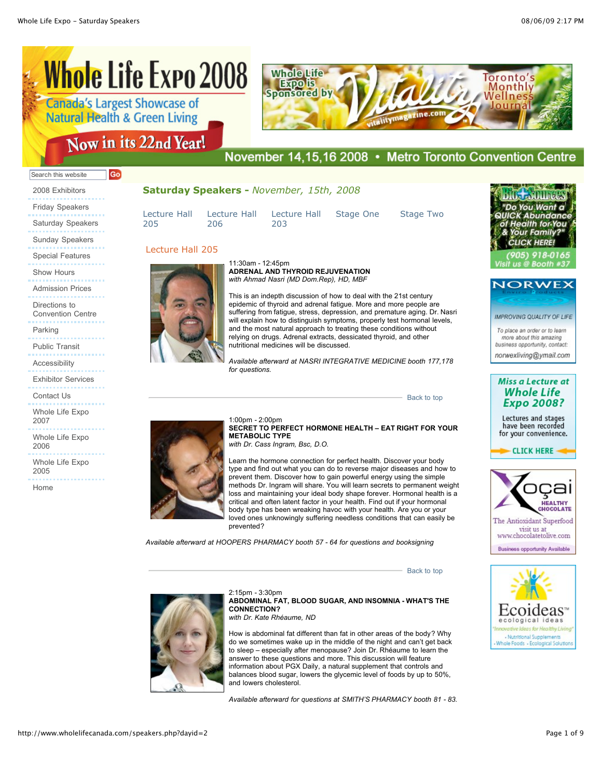## **Whole Life Expo 2008 Canada's Largest Showcase of Natural Health & Green Living**

| <b>Whole Life</b><br><b>Sponsored by</b> |                    | Toronto's<br>Monthly<br>Wellness |  |
|------------------------------------------|--------------------|----------------------------------|--|
|                                          | talitymagazine.com |                                  |  |

## Now in its 22nd Year!

## November 14,15,16 2008 • Metro Toronto Convention Centre

#### Go Search this website

2008 Exhibitors Friday Speakers Saturday Speakers Sunday Speakers Special Features Show Hours Admission Prices Directions to Convention Centre Parking Public Transit Accessibility Exhibitor Services

Contact Us

Whole Life Expo 2007

Whole Life Expo 2006

Whole Life Expo 2005

Home

#### **Saturday Speakers -** *November, 15th, 2008*

11:30am - 12:45pm

[Lecture Hall](http://www.wholelifecanada.com/speakers.php?dayid=2#6) 205 206

Lecture Hall 205

[Lecture Hall](http://www.wholelifecanada.com/speakers.php?dayid=2#7)

[Lecture Hall](http://www.wholelifecanada.com/speakers.php?dayid=2#5) 203

This is an indepth discussion of how to deal with the 21st century epidemic of thyroid and adrenal fatigue. More and more people are suffering from fatigue, stress, depression, and premature aging. Dr. Nasri will explain how to distinguish symptoms, properly test hormonal levels, and the most natural approach to treating these conditions without relying on drugs. Adrenal extracts, dessicated thyroid, and other

**ADRENAL AND THYROID REJUVENATION**  *with Ahmad Nasri (MD Dom.Rep), HD, MBF*

[Stage One](http://www.wholelifecanada.com/speakers.php?dayid=2#8) [Stage Two](http://www.wholelifecanada.com/speakers.php?dayid=2#9)

[Back to top](http://www.wholelifecanada.com/speakers.php?dayid=2#top)

[Back to top](http://www.wholelifecanada.com/speakers.php?dayid=2#top)

Want a **Family ICK HEDE** 





**IMPROVING QUALITY OF LIFE** 

To place an order or to learn more about this amazing business opportunity, contact: norwexliving@ymail.com



Lectures and stages have been recorded for your convenience.

**CLICK HERE** 





2:15pm - 3:30pm **ABDOMINAL FAT, BLOOD SUGAR, AND INSOMNIA - WHAT'S THE CONNECTION?**

*with Dr. Kate Rhéaume, ND* 

How is abdominal fat different than fat in other areas of the body? Why do we sometimes wake up in the middle of the night and can't get back to sleep – especially after menopause? Join Dr. Rhéaume to learn the answer to these questions and more. This discussion will feature information about PGX Daily, a natural supplement that controls and balances blood sugar, lowers the glycemic level of foods by up to 50%, and lowers cholesterol.

*Available afterward for questions at SMITH'S PHARMACY booth 81 - 83.*

## *for questions.* 1:00pm - 2:00pm

nutritional medicines will be discussed.

**SECRET TO PERFECT HORMONE HEALTH – EAT RIGHT FOR YOUR METABOLIC TYPE**  *with Dr. Cass Ingram, Bsc, D.O.* 

*Available afterward at NASRI INTEGRATIVE MEDICINE booth 177,178*

Learn the hormone connection for perfect health. Discover your body type and find out what you can do to reverse major diseases and how to prevent them. Discover how to gain powerful energy using the simple methods Dr. Ingram will share. You will learn secrets to permanent weight loss and maintaining your ideal body shape forever. Hormonal health is a critical and often latent factor in your health. Find out if your hormonal body type has been wreaking havoc with your health. Are you or your loved ones unknowingly suffering needless conditions that can easily be prevented?

*Available afterward at HOOPERS PHARMACY booth 57 - 64 for questions and booksigning*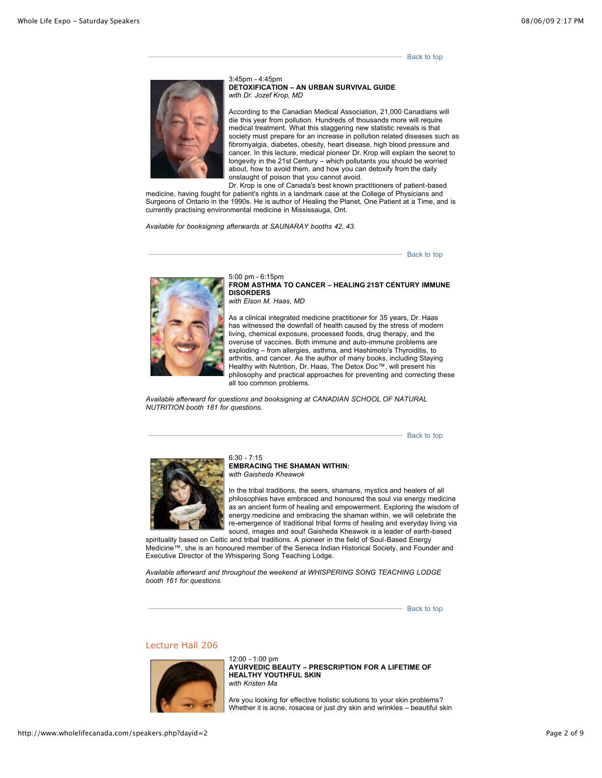[Back to top](http://www.wholelifecanada.com/speakers.php?dayid=2#top)



3:45pm - 4:45pm **DETOXIFICATION – AN URBAN SURVIVAL GUIDE** *with Dr. Jozef Krop, MD* 

According to the Canadian Medical Association, 21,000 Canadians will die this year from pollution. Hundreds of thousands more will require medical treatment. What this staggering new statistic reveals is that society must prepare for an increase in pollution related diseases such as fibromyalgia, diabetes, obesity, heart disease, high blood pressure and cancer. In this lecture, medical pioneer Dr. Krop will explain the secret to longevity in the 21st Century – which pollutants you should be worried about, how to avoid them, and how you can detoxify from the daily onslaught of poison that you cannot avoid.

Dr. Krop is one of Canada's best known practitioners of patient-based medicine, having fought for patient's rights in a landmark case at the College of Physicians and

Surgeons of Ontario in the 1990s. He is author of Healing the Planet, One Patient at a Time, and is currently practising environmental medicine in Mississauga, Ont.

*Available for booksigning afterwards at SAUNARAY booths 42, 43.*

[Back to top](http://www.wholelifecanada.com/speakers.php?dayid=2#top)



5:00 pm - 6:15pm **FROM ASTHMA TO CANCER – HEALING 21ST CENTURY IMMUNE DISORDERS** *with Elson M. Haas, MD* 

As a clinical integrated medicine practitioner for 35 years, Dr. Haas has witnessed the downfall of health caused by the stress of modern living, chemical exposure, processed foods, drug therapy, and the overuse of vaccines. Both immune and auto-immune problems are exploding – from allergies, asthma, and Hashimoto's Thyroiditis, to arthritis, and cancer. As the author of many books, including Staying Healthy with Nutrition, Dr. Haas, The Detox Doc™, will present his philosophy and practical approaches for preventing and correcting these all too common problems.

*Available afterward for questions and booksigning at CANADIAN SCHOOL OF NATURAL NUTRITION booth 181 for questions.*

[Back to top](http://www.wholelifecanada.com/speakers.php?dayid=2#top)



 $6:30 - 7:15$ **EMBRACING THE SHAMAN WITHIN:**  *with Gaisheda Kheawok*

In the tribal traditions, the seers, shamans, mystics and healers of all philosophies have embraced and honoured the soul via energy medicine as an ancient form of healing and empowerment. Exploring the wisdom of energy medicine and embracing the shaman within, we will celebrate the re-emergence of traditional tribal forms of healing and everyday living via sound, images and soul! Gaisheda Kheawok is a leader of earth-based

spirituality based on Celtic and tribal traditions. A pioneer in the field of Soul-Based Energy Medicine™, she is an honoured member of the Seneca Indian Historical Society, and Founder and Executive Director of the Whispering Song Teaching Lodge.

*Available afterward and throughout the weekend at WHISPERING SONG TEACHING LODGE booth 161 for questions.*

[Back to top](http://www.wholelifecanada.com/speakers.php?dayid=2#top)

#### Lecture Hall 206



12:00 - 1:00 pm **AYURVEDIC BEAUTY – PRESCRIPTION FOR A LIFETIME OF HEALTHY YOUTHFUL SKIN**  *with Kristen Ma* 

Are you looking for effective holistic solutions to your skin problems? Whether it is acne, rosacea or just dry skin and wrinkles – beautiful skin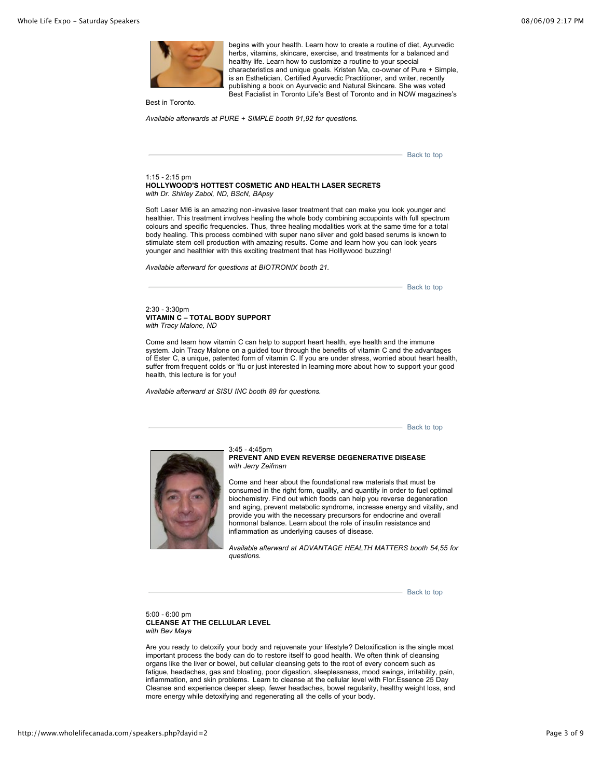

begins with your health. Learn how to create a routine of diet, Ayurvedic herbs, vitamins, skincare, exercise, and treatments for a balanced and healthy life. Learn how to customize a routine to your special characteristics and unique goals. Kristen Ma, co-owner of Pure + Simple, is an Esthetician, Certified Ayurvedic Practitioner, and writer, recently publishing a book on Ayurvedic and Natural Skincare. She was voted Best Facialist in Toronto Life's Best of Toronto and in NOW magazines's

Best in Toronto.

 $1:15 - 2:15$  pm

*Available afterwards at PURE + SIMPLE booth 91,92 for questions.*

[Back to top](http://www.wholelifecanada.com/speakers.php?dayid=2#top) **HOLLYWOOD'S HOTTEST COSMETIC AND HEALTH LASER SECRETS** *with Dr. Shirley Zabol, ND, BScN, BApsy* Soft Laser MI6 is an amazing non-invasive laser treatment that can make you look younger and

healthier. This treatment involves healing the whole body combining accupoints with full spectrum colours and specific frequencies. Thus, three healing modalities work at the same time for a total body healing. This process combined with super nano silver and gold based serums is known to stimulate stem cell production with amazing results. Come and learn how you can look years younger and healthier with this exciting treatment that has Holllywood buzzing!

*Available afterward for questions at BIOTRONIX booth 21.*

[Back to top](http://www.wholelifecanada.com/speakers.php?dayid=2#top)

2:30 - 3:30pm **VITAMIN C – TOTAL BODY SUPPORT** *with Tracy Malone, ND* 

Come and learn how vitamin C can help to support heart health, eye health and the immune system. Join Tracy Malone on a guided tour through the benefits of vitamin C and the advantages of Ester C, a unique, patented form of vitamin C. If you are under stress, worried about heart health, suffer from frequent colds or 'flu or just interested in learning more about how to support your good health, this lecture is for you!

*Available afterward at SISU INC booth 89 for questions.*

[Back to top](http://www.wholelifecanada.com/speakers.php?dayid=2#top)



#### 3:45 - 4:45pm **PREVENT AND EVEN REVERSE DEGENERATIVE DISEASE**  *with Jerry Zeifman*

Come and hear about the foundational raw materials that must be consumed in the right form, quality, and quantity in order to fuel optimal biochemistry. Find out which foods can help you reverse degeneration and aging, prevent metabolic syndrome, increase energy and vitality, and provide you with the necessary precursors for endocrine and overall hormonal balance. Learn about the role of insulin resistance and inflammation as underlying causes of disease.

*Available afterward at ADVANTAGE HEALTH MATTERS booth 54,55 for questions.*

[Back to top](http://www.wholelifecanada.com/speakers.php?dayid=2#top)

5:00 - 6:00 pm **CLEANSE AT THE CELLULAR LEVEL** *with Bev Maya* 

Are you ready to detoxify your body and rejuvenate your lifestyle? Detoxification is the single most important process the body can do to restore itself to good health. We often think of cleansing organs like the liver or bowel, but cellular cleansing gets to the root of every concern such as fatigue, headaches, gas and bloating, poor digestion, sleeplessness, mood swings, irritability, pain, inflammation, and skin problems. Learn to cleanse at the cellular level with Flor.Essence 25 Day Cleanse and experience deeper sleep, fewer headaches, bowel regularity, healthy weight loss, and more energy while detoxifying and regenerating all the cells of your body.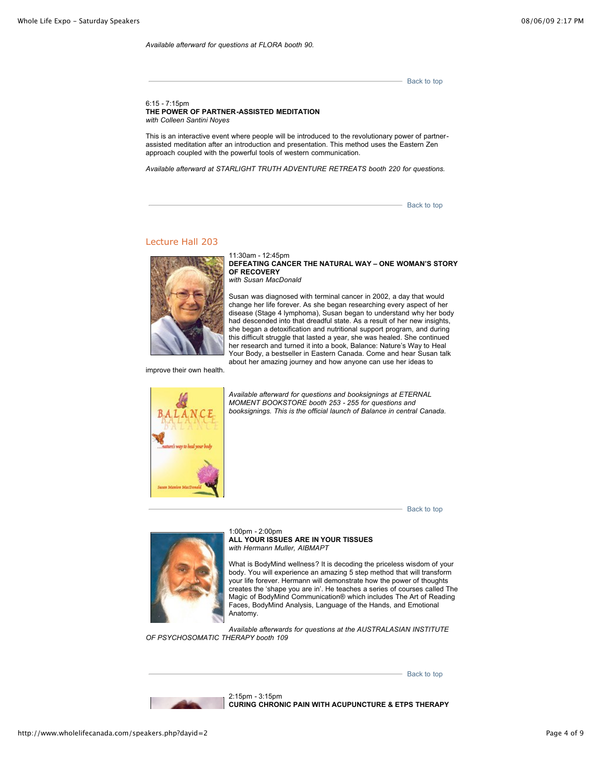*Available afterward for questions at FLORA booth 90.*

[Back to top](http://www.wholelifecanada.com/speakers.php?dayid=2#top)

6:15 - 7:15pm **THE POWER OF PARTNER-ASSISTED MEDITATION**  *with Colleen Santini Noyes*

This is an interactive event where people will be introduced to the revolutionary power of partnerassisted meditation after an introduction and presentation. This method uses the Eastern Zen approach coupled with the powerful tools of western communication.

*Available afterward at STARLIGHT TRUTH ADVENTURE RETREATS booth 220 for questions.*

11:30am - 12:45pm

[Back to top](http://www.wholelifecanada.com/speakers.php?dayid=2#top)

#### Lecture Hall 203



**DEFEATING CANCER THE NATURAL WAY – ONE WOMAN'S STORY OF RECOVERY** *with Susan MacDonald*

Susan was diagnosed with terminal cancer in 2002, a day that would change her life forever. As she began researching every aspect of her disease (Stage 4 lymphoma), Susan began to understand why her body had descended into that dreadful state. As a result of her new insights, she began a detoxification and nutritional support program, and during this difficult struggle that lasted a year, she was healed. She continued her research and turned it into a book, Balance: Nature's Way to Heal Your Body, a bestseller in Eastern Canada. Come and hear Susan talk about her amazing journey and how anyone can use her ideas to

improve their own health.



*Available afterward for questions and booksignings at ETERNAL MOMENT BOOKSTORE booth 253 - 255 for questions and booksignings. This is the official launch of Balance in central Canada.*

[Back to top](http://www.wholelifecanada.com/speakers.php?dayid=2#top)



1:00pm - 2:00pm **ALL YOUR ISSUES ARE IN YOUR TISSUES**  *with Hermann Muller, AIBMAPT* 

What is BodyMind wellness? It is decoding the priceless wisdom of your body. You will experience an amazing 5 step method that will transform your life forever. Hermann will demonstrate how the power of thoughts creates the 'shape you are in'. He teaches a series of courses called The Magic of BodyMind Communication® which includes The Art of Reading Faces, BodyMind Analysis, Language of the Hands, and Emotional Anatomy.

*Available afterwards for questions at the AUSTRALASIAN INSTITUTE OF PSYCHOSOMATIC THERAPY booth 109* 

[Back to top](http://www.wholelifecanada.com/speakers.php?dayid=2#top)



2:15pm - 3:15pm **CURING CHRONIC PAIN WITH ACUPUNCTURE & ETPS THERAPY**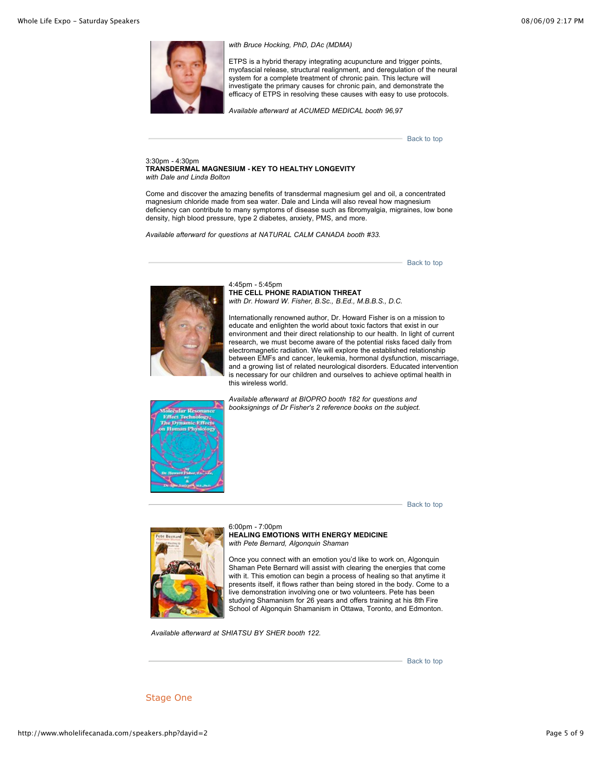

#### *with Bruce Hocking, PhD, DAc (MDMA)*

ETPS is a hybrid therapy integrating acupuncture and trigger points, myofascial release, structural realignment, and deregulation of the neural system for a complete treatment of chronic pain. This lecture will investigate the primary causes for chronic pain, and demonstrate the efficacy of ETPS in resolving these causes with easy to use protocols.

*Available afterward at ACUMED MEDICAL booth 96,97*

[Back to top](http://www.wholelifecanada.com/speakers.php?dayid=2#top)

#### 3:30pm - 4:30pm **TRANSDERMAL MAGNESIUM - KEY TO HEALTHY LONGEVITY**  *with Dale and Linda Bolton*

Come and discover the amazing benefits of transdermal magnesium gel and oil, a concentrated magnesium chloride made from sea water. Dale and Linda will also reveal how magnesium deficiency can contribute to many symptoms of disease such as fibromyalgia, migraines, low bone density, high blood pressure, type 2 diabetes, anxiety, PMS, and more.

*Available afterward for questions at NATURAL CALM CANADA booth #33.*

[Back to top](http://www.wholelifecanada.com/speakers.php?dayid=2#top)



4:45pm - 5:45pm **THE CELL PHONE RADIATION THREAT** *with Dr. Howard W. Fisher, B.Sc., B.Ed., M.B.B.S., D.C.*

Internationally renowned author, Dr. Howard Fisher is on a mission to educate and enlighten the world about toxic factors that exist in our environment and their direct relationship to our health. In light of current research, we must become aware of the potential risks faced daily from electromagnetic radiation. We will explore the established relationship between EMFs and cancer, leukemia, hormonal dysfunction, miscarriage, and a growing list of related neurological disorders. Educated intervention is necessary for our children and ourselves to achieve optimal health in this wireless world.







6:00pm - 7:00pm **HEALING EMOTIONS WITH ENERGY MEDICINE** *with Pete Bernard, Algonquin Shaman*

Once you connect with an emotion you'd like to work on, Algonquin Shaman Pete Bernard will assist with clearing the energies that come with it. This emotion can begin a process of healing so that anytime it presents itself, it flows rather than being stored in the body. Come to a live demonstration involving one or two volunteers. Pete has been studying Shamanism for 26 years and offers training at his 8th Fire School of Algonquin Shamanism in Ottawa, Toronto, and Edmonton.

 *Available afterward at SHIATSU BY SHER booth 122.*

[Back to top](http://www.wholelifecanada.com/speakers.php?dayid=2#top)

Stage One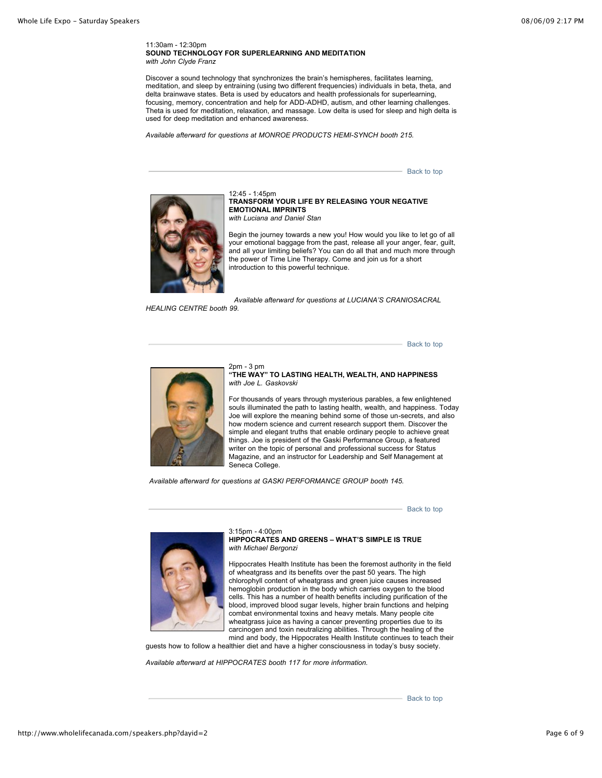11:30am - 12:30pm **SOUND TECHNOLOGY FOR SUPERLEARNING AND MEDITATION** *with John Clyde Franz*

Discover a sound technology that synchronizes the brain's hemispheres, facilitates learning, meditation, and sleep by entraining (using two different frequencies) individuals in beta, theta, and delta brainwave states. Beta is used by educators and health professionals for superlearning, focusing, memory, concentration and help for ADD-ADHD, autism, and other learning challenges. Theta is used for meditation, relaxation, and massage. Low delta is used for sleep and high delta is used for deep meditation and enhanced awareness.

*Available afterward for questions at MONROE PRODUCTS HEMI-SYNCH booth 215.*

- [Back to top](http://www.wholelifecanada.com/speakers.php?dayid=2#top)



12:45 - 1:45pm **TRANSFORM YOUR LIFE BY RELEASING YOUR NEGATIVE EMOTIONAL IMPRINTS**  *with Luciana and Daniel Stan*

Begin the journey towards a new you! How would you like to let go of all your emotional baggage from the past, release all your anger, fear, guilt, and all your limiting beliefs? You can do all that and much more through the power of Time Line Therapy. Come and join us for a short introduction to this powerful technique.

*Available afterward for questions at LUCIANA'S CRANIOSACRAL*

*HEALING CENTRE booth 99.*

[Back to top](http://www.wholelifecanada.com/speakers.php?dayid=2#top)



2pm - 3 pm **"THE WAY" TO LASTING HEALTH, WEALTH, AND HAPPINESS**  *with Joe L. Gaskovski*

For thousands of years through mysterious parables, a few enlightened souls illuminated the path to lasting health, wealth, and happiness. Today Joe will explore the meaning behind some of those un-secrets, and also how modern science and current research support them. Discover the simple and elegant truths that enable ordinary people to achieve great things. Joe is president of the Gaski Performance Group, a featured writer on the topic of personal and professional success for Status Magazine, and an instructor for Leadership and Self Management at Seneca College.

 *Available afterward for questions at GASKI PERFORMANCE GROUP booth 145.*

[Back to top](http://www.wholelifecanada.com/speakers.php?dayid=2#top)



3:15pm - 4:00pm **HIPPOCRATES AND GREENS – WHAT'S SIMPLE IS TRUE**  *with Michael Bergonzi*

Hippocrates Health Institute has been the foremost authority in the field of wheatgrass and its benefits over the past 50 years. The high chlorophyll content of wheatgrass and green juice causes increased hemoglobin production in the body which carries oxygen to the blood cells. This has a number of health benefits including purification of the blood, improved blood sugar levels, higher brain functions and helping combat environmental toxins and heavy metals. Many people cite wheatgrass juice as having a cancer preventing properties due to its carcinogen and toxin neutralizing abilities. Through the healing of the mind and body, the Hippocrates Health Institute continues to teach their

guests how to follow a healthier diet and have a higher consciousness in today's busy society.

*Available afterward at HIPPOCRATES booth 117 for more information.*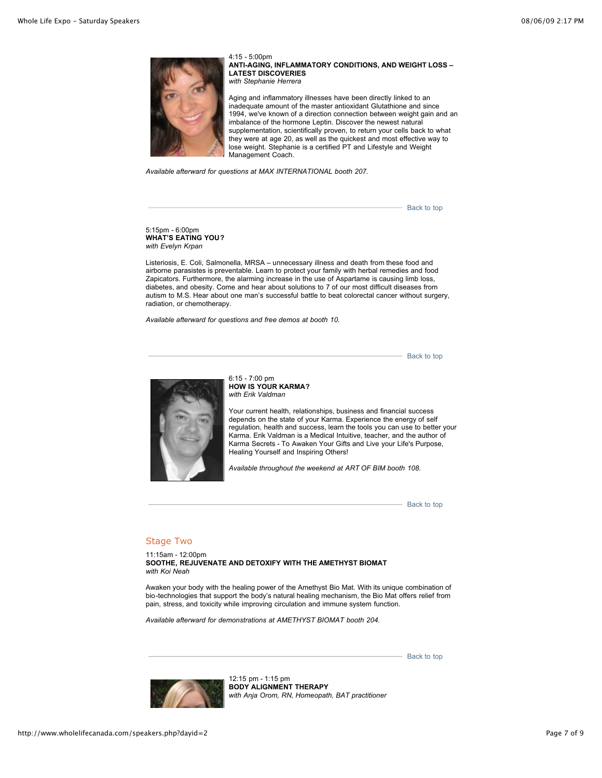

4:15 - 5:00pm **ANTI-AGING, INFLAMMATORY CONDITIONS, AND WEIGHT LOSS – LATEST DISCOVERIES** *with Stephanie Herrera*

Aging and inflammatory illnesses have been directly linked to an inadequate amount of the master antioxidant Glutathione and since 1994, we've known of a direction connection between weight gain and an imbalance of the hormone Leptin. Discover the newest natural supplementation, scientifically proven, to return your cells back to what they were at age 20, as well as the quickest and most effective way to lose weight. Stephanie is a certified PT and Lifestyle and Weight Management Coach.

*Available afterward for questions at MAX INTERNATIONAL booth 207.*

[Back to top](http://www.wholelifecanada.com/speakers.php?dayid=2#top)

5:15pm - 6:00pm **WHAT'S EATING YOU?**  *with Evelyn Krpan*

Listeriosis, E. Coli, Salmonella, MRSA – unnecessary illness and death from these food and airborne parasistes is preventable. Learn to protect your family with herbal remedies and food Zapicators. Furthermore, the alarming increase in the use of Aspartame is causing limb loss, diabetes, and obesity. Come and hear about solutions to 7 of our most difficult diseases from autism to M.S. Hear about one man's successful battle to beat colorectal cancer without surgery, radiation, or chemotherapy.

*Available afterward for questions and free demos at booth 10.*

[Back to top](http://www.wholelifecanada.com/speakers.php?dayid=2#top)



6:15 - 7:00 pm **HOW IS YOUR KARMA?**  *with Erik Valdman*

Your current health, relationships, business and financial success depends on the state of your Karma. Experience the energy of self regulation, health and success, learn the tools you can use to better your Karma. Erik Valdman is a Medical Intuitive, teacher, and the author of Karma Secrets - To Awaken Your Gifts and Live your Life's Purpose, Healing Yourself and Inspiring Others!

*Available throughout the weekend at ART OF BIM booth 108.*

[Back to top](http://www.wholelifecanada.com/speakers.php?dayid=2#top)

#### Stage Two

11:15am - 12:00pm **SOOTHE, REJUVENATE AND DETOXIFY WITH THE AMETHYST BIOMAT** *with Koi Neah* 

Awaken your body with the healing power of the Amethyst Bio Mat. With its unique combination of bio-technologies that support the body's natural healing mechanism, the Bio Mat offers relief from pain, stress, and toxicity while improving circulation and immune system function.

*Available afterward for demonstrations at AMETHYST BIOMAT booth 204.*

[Back to top](http://www.wholelifecanada.com/speakers.php?dayid=2#top)



12:15 pm - 1:15 pm **BODY ALIGNMENT THERAPY**  *with Anja Orom, RN, Homeopath, BAT practitioner*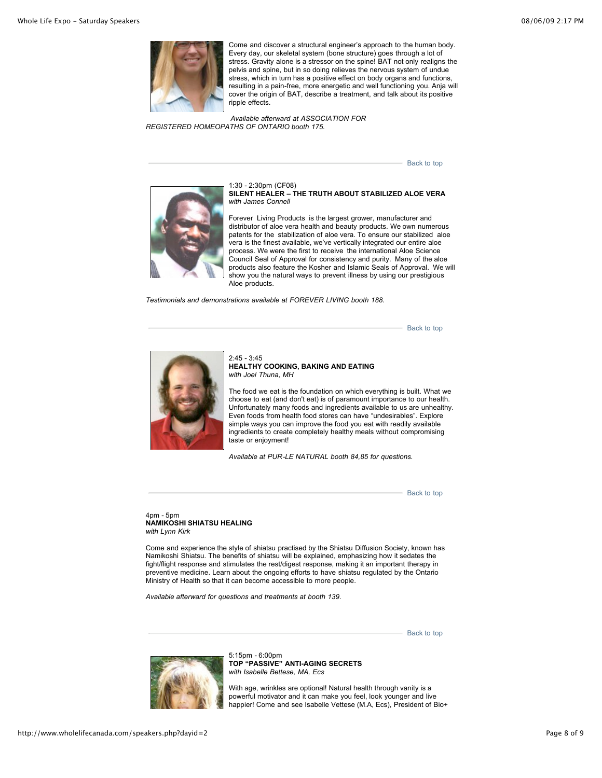

Come and discover a structural engineer's approach to the human body. Every day, our skeletal system (bone structure) goes through a lot of stress. Gravity alone is a stressor on the spine! BAT not only realigns the pelvis and spine, but in so doing relieves the nervous system of undue stress, which in turn has a positive effect on body organs and functions, resulting in a pain-free, more energetic and well functioning you. Anja will cover the origin of BAT, describe a treatment, and talk about its positive ripple effects.

 *Available afterward at ASSOCIATION FOR REGISTERED HOMEOPATHS OF ONTARIO booth 175.*

[Back to top](http://www.wholelifecanada.com/speakers.php?dayid=2#top)



1:30 - 2:30pm (CF08) **SILENT HEALER – THE TRUTH ABOUT STABILIZED ALOE VERA**  *with James Connell*

Forever Living Products is the largest grower, manufacturer and distributor of aloe vera health and beauty products. We own numerous patents for the stabilization of aloe vera. To ensure our stabilized aloe vera is the finest available, we've vertically integrated our entire aloe process. We were the first to receive the international Aloe Science Council Seal of Approval for consistency and purity. Many of the aloe products also feature the Kosher and Islamic Seals of Approval. We will show you the natural ways to prevent illness by using our prestigious Aloe products.

*Testimonials and demonstrations available at FOREVER LIVING booth 188.*

[Back to top](http://www.wholelifecanada.com/speakers.php?dayid=2#top)



2:45 - 3:45 **HEALTHY COOKING, BAKING AND EATING** *with Joel Thuna, MH*

The food we eat is the foundation on which everything is built. What we choose to eat (and don't eat) is of paramount importance to our health. Unfortunately many foods and ingredients available to us are unhealthy. Even foods from health food stores can have "undesirables". Explore simple ways you can improve the food you eat with readily available ingredients to create completely healthy meals without compromising taste or enjoyment!

*Available at PUR-LE NATURAL booth 84,85 for questions.*

[Back to top](http://www.wholelifecanada.com/speakers.php?dayid=2#top)

#### 4pm - 5pm **NAMIKOSHI SHIATSU HEALING**  *with Lynn Kirk*

Come and experience the style of shiatsu practised by the Shiatsu Diffusion Society, known has Namikoshi Shiatsu. The benefits of shiatsu will be explained, emphasizing how it sedates the fight/flight response and stimulates the rest/digest response, making it an important therapy in preventive medicine. Learn about the ongoing efforts to have shiatsu regulated by the Ontario Ministry of Health so that it can become accessible to more people.

*Available afterward for questions and treatments at booth 139.*

[Back to top](http://www.wholelifecanada.com/speakers.php?dayid=2#top)



5:15pm - 6:00pm **TOP "PASSIVE" ANTI-AGING SECRETS**  *with Isabelle Bettese, MA, Ecs*

With age, wrinkles are optional! Natural health through vanity is a powerful motivator and it can make you feel, look younger and live happier! Come and see Isabelle Vettese (M.A, Ecs), President of Bio+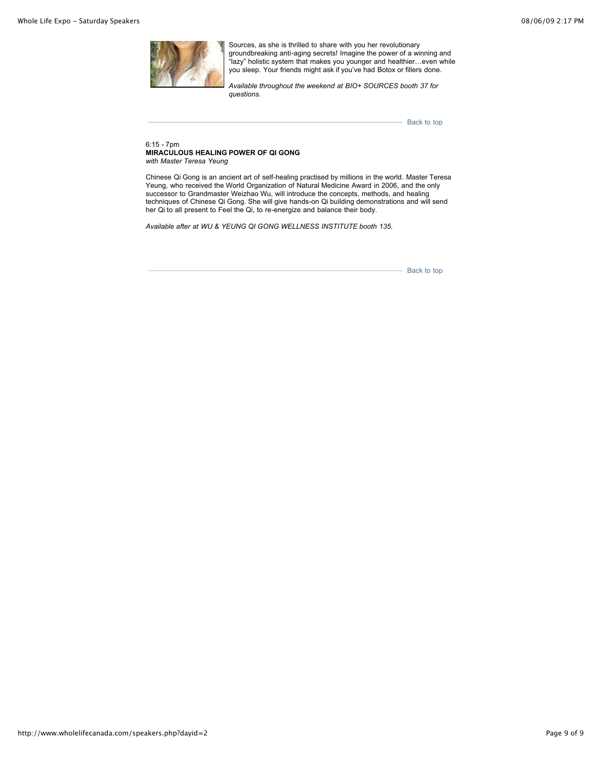

Sources, as she is thrilled to share with you her revolutionary groundbreaking anti-aging secrets! Imagine the power of a winning and "lazy" holistic system that makes you younger and healthier…even while you sleep. Your friends might ask if you've had Botox or fillers done.

*Available throughout the weekend at BIO+ SOURCES booth 37 for questions.*

[Back to top](http://www.wholelifecanada.com/speakers.php?dayid=2#top)

6:15 - 7pm **MIRACULOUS HEALING POWER OF QI GONG**  *with Master Teresa Yeung*

Chinese Qi Gong is an ancient art of self-healing practised by millions in the world. Master Teresa Yeung, who received the World Organization of Natural Medicine Award in 2006, and the only successor to Grandmaster Weizhao Wu, will introduce the concepts, methods, and healing techniques of Chinese Qi Gong. She will give hands-on Qi building demonstrations and will send her Qi to all present to Feel the Qi, to re-energize and balance their body.

*Available after at WU & YEUNG QI GONG WELLNESS INSTITUTE booth 135.*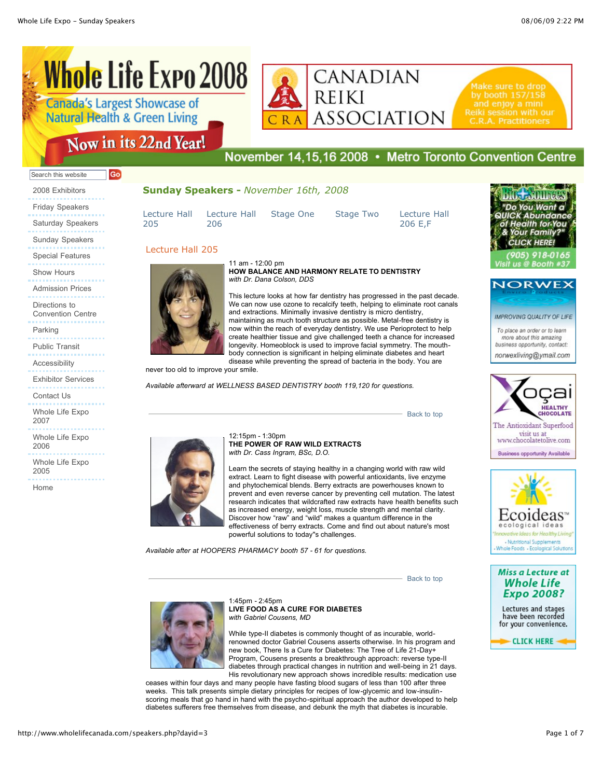## **Whole Life Expo 2008 Canada's Largest Showcase of Natural Health & Green Living**



Make sure to drop Reiki session with our

## Now in its 22nd Year!

Go

## November 14,15,16 2008 • Metro Toronto Convention Centre

#### Search this website

2008 Exhibitors Friday Speakers Saturday Speakers Sunday Speakers Special Features Show Hours Admission Prices Directions to Convention Centre Parking Public Transit

Accessibility

Exhibitor Services

Contact Us

Whole Life Expo 2007

Whole Life Expo 2006

Whole Life Expo 2005

Home

#### **Sunday Speakers -** *November 16th, 2008*

[Lecture Hall](http://www.wholelifecanada.com/speakers.php?dayid=3#6) 205 [Lecture Hall](http://www.wholelifecanada.com/speakers.php?dayid=3#7) 206

[Stage One](http://www.wholelifecanada.com/speakers.php?dayid=3#8) [Stage Two](http://www.wholelifecanada.com/speakers.php?dayid=3#9) [Lecture Hall](http://www.wholelifecanada.com/speakers.php?dayid=3#10)

206 E,F

Want Family **ICK HEDE** 

**NORWEX** 

**IMPROVING QUALITY OF LIFE** 

To place an order or to learn more about this amazing business opportunity, contact: norwexliving@ymail.com



The Antioxidant Superfood visit us at www.chocolatetolive.com **Business opportunity Available** 



**Miss a Lecture at Whole Life Expo 2008?** 

Lectures and stages have been recorded for your convenience.

**CLICK HERE** 

![](_page_12_Picture_30.jpeg)

1:45pm - 2:45pm **LIVE FOOD AS A CURE FOR DIABETES**  *with Gabriel Cousens, MD* 

powerful solutions to today''s challenges.

While type-II diabetes is commonly thought of as incurable, worldrenowned doctor Gabriel Cousens asserts otherwise. In his program and new book, There Is a Cure for Diabetes: The Tree of Life 21-Day+ Program, Cousens presents a breakthrough approach: reverse type-II diabetes through practical changes in nutrition and well-being in 21 days. His revolutionary new approach shows incredible results: medication use

ceases within four days and many people have fasting blood sugars of less than 100 after three weeks. This talk presents simple dietary principles for recipes of low-glycemic and low-insulinscoring meals that go hand in hand with the psycho-spiritual approach the author developed to help diabetes sufferers free themselves from disease, and debunk the myth that diabetes is incurable.

#### Lecture Hall 205 11 am - 12:00 pm **HOW BALANCE AND HARMONY RELATE TO DENTISTRY**  *with Dr. Dana Colson, DDS*

This lecture looks at how far dentistry has progressed in the past decade. We can now use ozone to recalcify teeth, helping to eliminate root canals and extractions. Minimally invasive dentistry is micro dentistry, maintaining as much tooth structure as possible. Metal-free dentistry is now within the reach of everyday dentistry. We use Perioprotect to help create healthier tissue and give challenged teeth a chance for increased longevity. Homeoblock is used to improve facial symmetry. The mouthbody connection is significant in helping eliminate diabetes and heart disease while preventing the spread of bacteria in the body. You are

never too old to improve your smile.

*Available afterward at WELLNESS BASED DENTISTRY booth 119,120 for questions.*

![](_page_12_Picture_40.jpeg)

*Available after at HOOPERS PHARMACY booth 57 - 61 for questions.*

Learn the secrets of staying healthy in a changing world with raw wild extract. Learn to fight disease with powerful antioxidants, live enzyme and phytochemical blends. Berry extracts are powerhouses known to prevent and even reverse cancer by preventing cell mutation. The latest research indicates that wildcrafted raw extracts have health benefits such as increased energy, weight loss, muscle strength and mental clarity. Discover how "raw" and "wild" makes a quantum difference in the effectiveness of berry extracts. Come and find out about nature's most

[Back to top](http://www.wholelifecanada.com/speakers.php?dayid=3#top)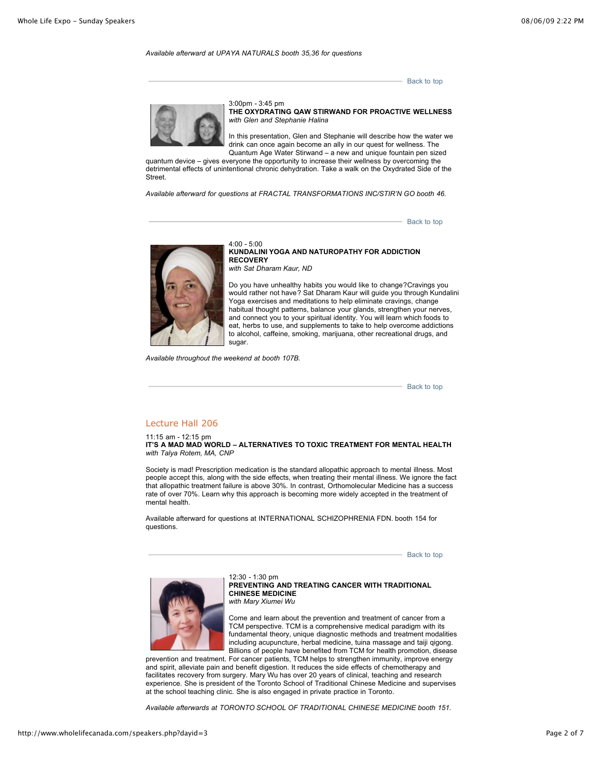#### *Available afterward at UPAYA NATURALS booth 35,36 for questions*

[Back to top](http://www.wholelifecanada.com/speakers.php?dayid=3#top)

![](_page_13_Picture_4.jpeg)

3:00pm - 3:45 pm **THE OXYDRATING QAW STIRWAND FOR PROACTIVE WELLNESS** *with Glen and Stephanie Halina*

In this presentation, Glen and Stephanie will describe how the water we drink can once again become an ally in our quest for wellness. The Quantum Age Water Stirwand – a new and unique fountain pen sized

quantum device – gives everyone the opportunity to increase their wellness by overcoming the detrimental effects of unintentional chronic dehydration. Take a walk on the Oxydrated Side of the **Street** 

*Available afterward for questions at FRACTAL TRANSFORMATIONS INC/STIR'N GO booth 46.*

[Back to top](http://www.wholelifecanada.com/speakers.php?dayid=3#top)

![](_page_13_Picture_10.jpeg)

4:00 - 5:00 **KUNDALINI YOGA AND NATUROPATHY FOR ADDICTION RECOVERY**  *with Sat Dharam Kaur, ND* 

Do you have unhealthy habits you would like to change?Cravings you would rather not have? Sat Dharam Kaur will guide you through Kundalini Yoga exercises and meditations to help eliminate cravings, change habitual thought patterns, balance your glands, strengthen your nerves, and connect you to your spiritual identity. You will learn which foods to eat, herbs to use, and supplements to take to help overcome addictions to alcohol, caffeine, smoking, marijuana, other recreational drugs, and sugar.

*Available throughout the weekend at booth 107B.*

[Back to top](http://www.wholelifecanada.com/speakers.php?dayid=3#top)

#### Lecture Hall 206

11:15 am - 12:15 pm **IT'S A MAD MAD WORLD – ALTERNATIVES TO TOXIC TREATMENT FOR MENTAL HEALTH**  *with Talya Rotem, MA, CNP*

Society is mad! Prescription medication is the standard allopathic approach to mental illness. Most people accept this, along with the side effects, when treating their mental illness. We ignore the fact that allopathic treatment failure is above 30%. In contrast, Orthomolecular Medicine has a success rate of over 70%. Learn why this approach is becoming more widely accepted in the treatment of mental health.

Available afterward for questions at INTERNATIONAL SCHIZOPHRENIA FDN. booth 154 for questions.

[Back to top](http://www.wholelifecanada.com/speakers.php?dayid=3#top)

![](_page_13_Picture_20.jpeg)

12:30 - 1:30 pm **PREVENTING AND TREATING CANCER WITH TRADITIONAL CHINESE MEDICINE** *with Mary Xiumei Wu*

Come and learn about the prevention and treatment of cancer from a TCM perspective. TCM is a comprehensive medical paradigm with its fundamental theory, unique diagnostic methods and treatment modalities including acupuncture, herbal medicine, tuina massage and taiji qigong. Billions of people have benefited from TCM for health promotion, disease

prevention and treatment. For cancer patients, TCM helps to strengthen immunity, improve energy and spirit, alleviate pain and benefit digestion. It reduces the side effects of chemotherapy and facilitates recovery from surgery. Mary Wu has over 20 years of clinical, teaching and research experience. She is president of the Toronto School of Traditional Chinese Medicine and supervises at the school teaching clinic. She is also engaged in private practice in Toronto.

*Available afterwards at TORONTO SCHOOL OF TRADITIONAL CHINESE MEDICINE booth 151.*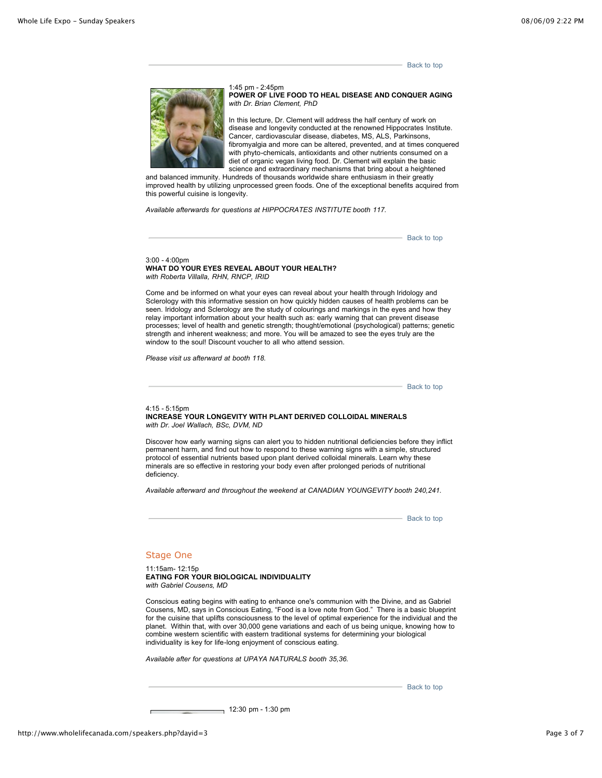[Back to top](http://www.wholelifecanada.com/speakers.php?dayid=3#top)

![](_page_14_Picture_3.jpeg)

1:45 pm - 2:45pm **POWER OF LIVE FOOD TO HEAL DISEASE AND CONQUER AGING**  *with Dr. Brian Clement, PhD* 

In this lecture, Dr. Clement will address the half century of work on disease and longevity conducted at the renowned Hippocrates Institute. Cancer, cardiovascular disease, diabetes, MS, ALS, Parkinsons, fibromyalgia and more can be altered, prevented, and at times conquered with phyto-chemicals, antioxidants and other nutrients consumed on a diet of organic vegan living food. Dr. Clement will explain the basic science and extraordinary mechanisms that bring about a heightened

and balanced immunity. Hundreds of thousands worldwide share enthusiasm in their greatly improved health by utilizing unprocessed green foods. One of the exceptional benefits acquired from this powerful cuisine is longevity.

*Available afterwards for questions at HIPPOCRATES INSTITUTE booth 117.*

[Back to top](http://www.wholelifecanada.com/speakers.php?dayid=3#top)

3:00 - 4:00pm **WHAT DO YOUR EYES REVEAL ABOUT YOUR HEALTH?**  *with Roberta Villalla, RHN, RNCP, IRID*

Come and be informed on what your eyes can reveal about your health through Iridology and Sclerology with this informative session on how quickly hidden causes of health problems can be seen. Iridology and Sclerology are the study of colourings and markings in the eyes and how they relay important information about your health such as: early warning that can prevent disease processes; level of health and genetic strength; thought/emotional (psychological) patterns; genetic strength and inherent weakness; and more. You will be amazed to see the eyes truly are the window to the soul! Discount voucher to all who attend session.

*Please visit us afterward at booth 118.*

- [Back to top](http://www.wholelifecanada.com/speakers.php?dayid=3#top)

#### 4:15 - 5:15pm **INCREASE YOUR LONGEVITY WITH PLANT DERIVED COLLOIDAL MINERALS** *with Dr. Joel Wallach, BSc, DVM, ND*

Discover how early warning signs can alert you to hidden nutritional deficiencies before they inflict permanent harm, and find out how to respond to these warning signs with a simple, structured protocol of essential nutrients based upon plant derived colloidal minerals. Learn why these minerals are so effective in restoring your body even after prolonged periods of nutritional deficiency.

*Available afterward and throughout the weekend at CANADIAN YOUNGEVITY booth 240,241.*

[Back to top](http://www.wholelifecanada.com/speakers.php?dayid=3#top)

#### Stage One

11:15am- 12:15p **EATING FOR YOUR BIOLOGICAL INDIVIDUALITY** *with Gabriel Cousens, MD* 

Conscious eating begins with eating to enhance one's communion with the Divine, and as Gabriel Cousens, MD, says in Conscious Eating, "Food is a love note from God." There is a basic blueprint for the cuisine that uplifts consciousness to the level of optimal experience for the individual and the planet. Within that, with over 30,000 gene variations and each of us being unique, knowing how to combine western scientific with eastern traditional systems for determining your biological individuality is key for life-long enjoyment of conscious eating.

*Available after for questions at UPAYA NATURALS booth 35,36.*

[Back to top](http://www.wholelifecanada.com/speakers.php?dayid=3#top)

12:30 pm - 1:30 pm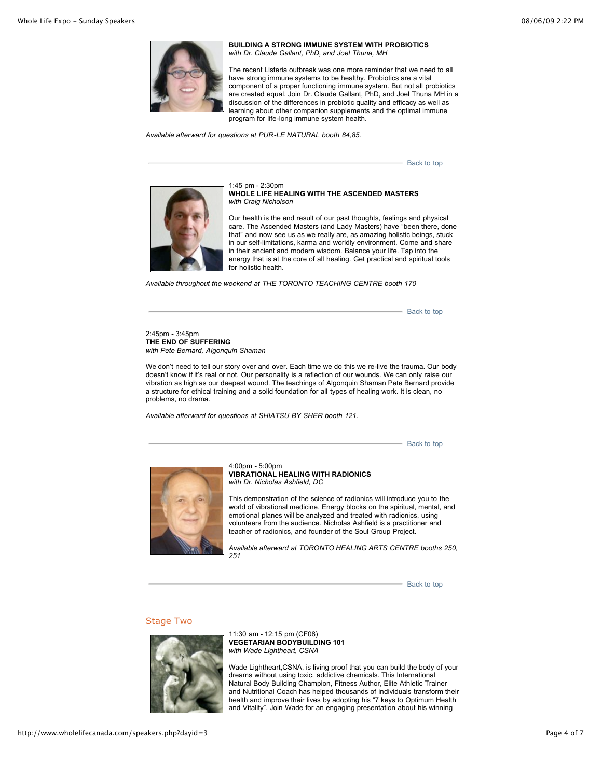![](_page_15_Picture_2.jpeg)

**BUILDING A STRONG IMMUNE SYSTEM WITH PROBIOTICS** *with Dr. Claude Gallant, PhD, and Joel Thuna, MH*

The recent Listeria outbreak was one more reminder that we need to all have strong immune systems to be healthy. Probiotics are a vital component of a proper functioning immune system. But not all probiotics are created equal. Join Dr. Claude Gallant, PhD, and Joel Thuna MH in a discussion of the differences in probiotic quality and efficacy as well as learning about other companion supplements and the optimal immune program for life-long immune system health.

*Available afterward for questions at PUR-LE NATURAL booth 84,85.*

[Back to top](http://www.wholelifecanada.com/speakers.php?dayid=3#top)

![](_page_15_Picture_7.jpeg)

1:45 pm - 2:30pm **WHOLE LIFE HEALING WITH THE ASCENDED MASTERS**  *with Craig Nicholson* 

Our health is the end result of our past thoughts, feelings and physical care. The Ascended Masters (and Lady Masters) have "been there, done that" and now see us as we really are, as amazing holistic beings, stuck in our self-limitations, karma and worldly environment. Come and share in their ancient and modern wisdom. Balance your life. Tap into the energy that is at the core of all healing. Get practical and spiritual tools for holistic health.

*Available throughout the weekend at THE TORONTO TEACHING CENTRE booth 170*

[Back to top](http://www.wholelifecanada.com/speakers.php?dayid=3#top)

2:45pm - 3:45pm **THE END OF SUFFERING**  *with Pete Bernard, Algonquin Shaman*

We don't need to tell our story over and over. Each time we do this we re-live the trauma. Our body doesn't know if it's real or not. Our personality is a reflection of our wounds. We can only raise our vibration as high as our deepest wound. The teachings of Algonquin Shaman Pete Bernard provide a structure for ethical training and a solid foundation for all types of healing work. It is clean, no problems, no drama.

*Available afterward for questions at SHIATSU BY SHER booth 121.*

[Back to top](http://www.wholelifecanada.com/speakers.php?dayid=3#top)

![](_page_15_Picture_16.jpeg)

4:00pm - 5:00pm **VIBRATIONAL HEALING WITH RADIONICS** *with Dr. Nicholas Ashfield, DC* 

This demonstration of the science of radionics will introduce you to the world of vibrational medicine. Energy blocks on the spiritual, mental, and emotional planes will be analyzed and treated with radionics, using volunteers from the audience. Nicholas Ashfield is a practitioner and teacher of radionics, and founder of the Soul Group Project.

*Available afterward at TORONTO HEALING ARTS CENTRE booths 250, 251*

[Back to top](http://www.wholelifecanada.com/speakers.php?dayid=3#top)

#### Stage Two

![](_page_15_Picture_22.jpeg)

11:30 am - 12:15 pm (CF08) **VEGETARIAN BODYBUILDING 101** *with Wade Lightheart, CSNA*

Wade Lightheart,CSNA, is living proof that you can build the body of your dreams without using toxic, addictive chemicals. This International Natural Body Building Champion, Fitness Author, Elite Athletic Trainer and Nutritional Coach has helped thousands of individuals transform their health and improve their lives by adopting his "7 keys to Optimum Health and Vitality". Join Wade for an engaging presentation about his winning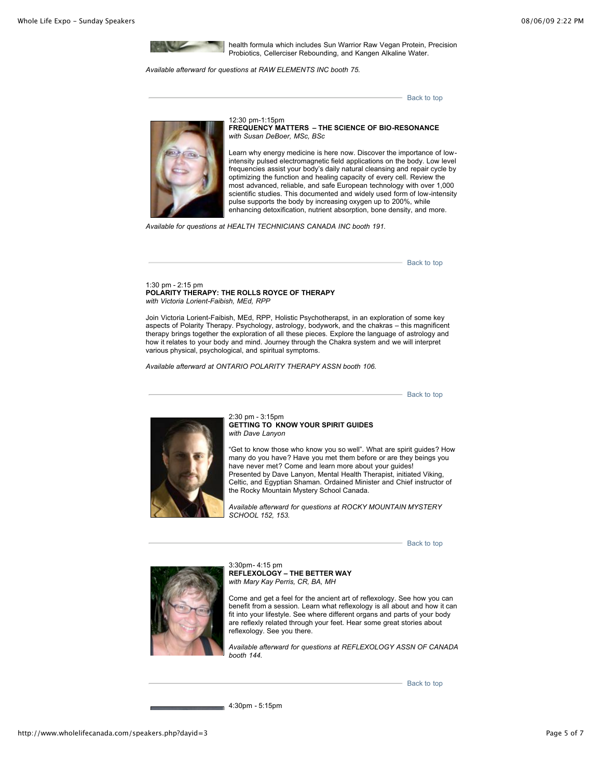![](_page_16_Picture_2.jpeg)

health formula which includes Sun Warrior Raw Vegan Protein, Precision Probiotics, Cellerciser Rebounding, and Kangen Alkaline Water.

*Available afterward for questions at RAW ELEMENTS INC booth 75.*

[Back to top](http://www.wholelifecanada.com/speakers.php?dayid=3#top)

![](_page_16_Picture_6.jpeg)

12:30 pm-1:15pm **FREQUENCY MATTERS – THE SCIENCE OF BIO-RESONANCE**  *with Susan DeBoer, MSc, BSc*

Learn why energy medicine is here now. Discover the importance of lowintensity pulsed electromagnetic field applications on the body. Low level frequencies assist your body's daily natural cleansing and repair cycle by optimizing the function and healing capacity of every cell. Review the most advanced, reliable, and safe European technology with over 1,000 scientific studies. This documented and widely used form of low-intensity pulse supports the body by increasing oxygen up to 200%, while enhancing detoxification, nutrient absorption, bone density, and more.

*Available for questions at HEALTH TECHNICIANS CANADA INC booth 191.*

[Back to top](http://www.wholelifecanada.com/speakers.php?dayid=3#top)

1:30 pm - 2:15 pm **POLARITY THERAPY: THE ROLLS ROYCE OF THERAPY**  *with Victoria Lorient-Faibish, MEd, RPP*

Join Victoria Lorient-Faibish, MEd, RPP, Holistic Psychotherapst, in an exploration of some key aspects of Polarity Therapy. Psychology, astrology, bodywork, and the chakras – this magnificent therapy brings together the exploration of all these pieces. Explore the language of astrology and how it relates to your body and mind. Journey through the Chakra system and we will interpret various physical, psychological, and spiritual symptoms.

*Available afterward at ONTARIO POLARITY THERAPY ASSN booth 106.*

- [Back to top](http://www.wholelifecanada.com/speakers.php?dayid=3#top)

![](_page_16_Picture_15.jpeg)

2:30 pm - 3:15pm **GETTING TO KNOW YOUR SPIRIT GUIDES**  *with Dave Lanyon*

"Get to know those who know you so well". What are spirit guides? How many do you have? Have you met them before or are they beings you have never met? Come and learn more about your guides! Presented by Dave Lanyon, Mental Health Therapist, initiated Viking, Celtic, and Egyptian Shaman. Ordained Minister and Chief instructor of the Rocky Mountain Mystery School Canada.

*Available afterward for questions at ROCKY MOUNTAIN MYSTERY SCHOOL 152, 153.*

[Back to top](http://www.wholelifecanada.com/speakers.php?dayid=3#top)

![](_page_16_Picture_20.jpeg)

3:30pm- 4:15 pm **REFLEXOLOGY – THE BETTER WAY** *with Mary Kay Perris, CR, BA, MH*

Come and get a feel for the ancient art of reflexology. See how you can benefit from a session. Learn what reflexology is all about and how it can fit into your lifestyle. See where different organs and parts of your body are reflexly related through your feet. Hear some great stories about reflexology. See you there.

*Available afterward for questions at REFLEXOLOGY ASSN OF CANADA booth 144.*

- [Back to top](http://www.wholelifecanada.com/speakers.php?dayid=3#top)

4:30pm - 5:15pm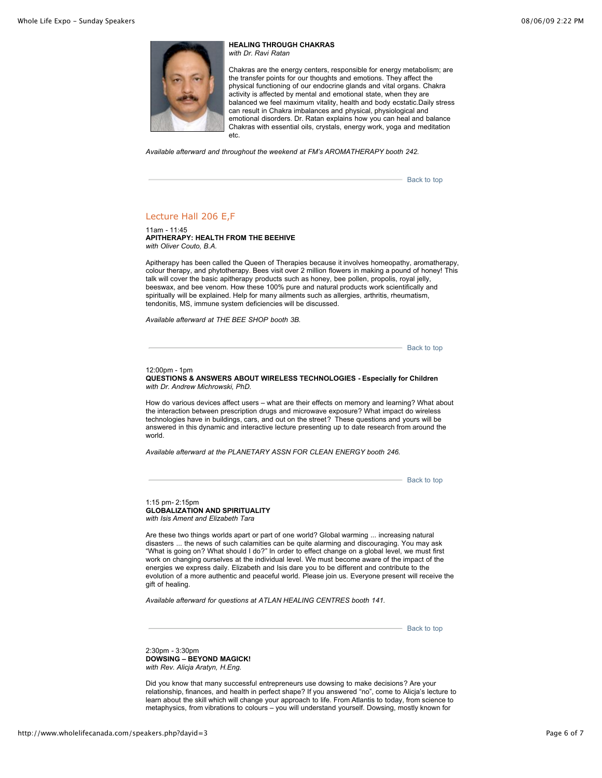![](_page_17_Picture_2.jpeg)

#### **HEALING THROUGH CHAKRAS** *with Dr. Ravi Ratan*

Chakras are the energy centers, responsible for energy metabolism; are the transfer points for our thoughts and emotions. They affect the physical functioning of our endocrine glands and vital organs. Chakra activity is affected by mental and emotional state, when they are balanced we feel maximum vitality, health and body ecstatic.Daily stress can result in Chakra imbalances and physical, physiological and emotional disorders. Dr. Ratan explains how you can heal and balance Chakras with essential oils, crystals, energy work, yoga and meditation etc.

*Available afterward and throughout the weekend at FM's AROMATHERAPY booth 242.*

**[Back to top](http://www.wholelifecanada.com/speakers.php?dayid=3#top)** 

#### Lecture Hall 206 E,F

 $11am - 11:45$ **APITHERAPY: HEALTH FROM THE BEEHIVE**  *with Oliver Couto, B.A.* 

Apitherapy has been called the Queen of Therapies because it involves homeopathy, aromatherapy, colour therapy, and phytotherapy. Bees visit over 2 million flowers in making a pound of honey! This talk will cover the basic apitherapy products such as honey, bee pollen, propolis, royal jelly, beeswax, and bee venom. How these 100% pure and natural products work scientifically and spiritually will be explained. Help for many ailments such as allergies, arthritis, rheumatism, tendonitis, MS, immune system deficiencies will be discussed.

*Available afterward at THE BEE SHOP booth 3B.*

[Back to top](http://www.wholelifecanada.com/speakers.php?dayid=3#top)

#### 12:00pm - 1pm

#### **QUESTIONS & ANSWERS ABOUT WIRELESS TECHNOLOGIES - Especially for Children** *with Dr. Andrew Michrowski, PhD.*

How do various devices affect users – what are their effects on memory and learning? What about the interaction between prescription drugs and microwave exposure? What impact do wireless technologies have in buildings, cars, and out on the street? These questions and yours will be answered in this dynamic and interactive lecture presenting up to date research from around the world.

*Available afterward at the PLANETARY ASSN FOR CLEAN ENERGY booth 246.*

[Back to top](http://www.wholelifecanada.com/speakers.php?dayid=3#top)

1:15 pm- 2:15pm **GLOBALIZATION AND SPIRITUALITY** *with Isis Ament and Elizabeth Tara*

Are these two things worlds apart or part of one world? Global warming ... increasing natural disasters ... the news of such calamities can be quite alarming and discouraging. You may ask "What is going on? What should I do?" In order to effect change on a global level, we must first work on changing ourselves at the individual level. We must become aware of the impact of the energies we express daily. Elizabeth and Isis dare you to be different and contribute to the evolution of a more authentic and peaceful world. Please join us. Everyone present will receive the gift of healing.

*Available afterward for questions at ATLAN HEALING CENTRES booth 141.*

[Back to top](http://www.wholelifecanada.com/speakers.php?dayid=3#top)

2:30pm - 3:30pm **DOWSING – BEYOND MAGICK!**  *with Rev. Alicja Aratyn, H.Eng.*

Did you know that many successful entrepreneurs use dowsing to make decisions? Are your relationship, finances, and health in perfect shape? If you answered "no", come to Alicja's lecture to learn about the skill which will change your approach to life. From Atlantis to today, from science to metaphysics, from vibrations to colours – you will understand yourself. Dowsing, mostly known for